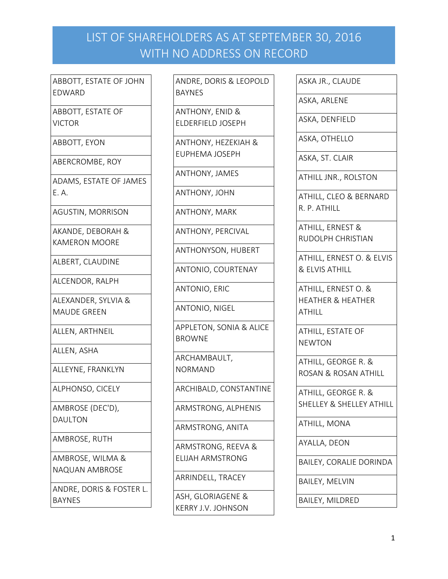ABBOTT, ESTATE OF JOHN EDWARD

ABBOTT, ESTATE OF VICTOR

ABBOTT, EYON

ABERCROMBE, ROY

ADAMS, ESTATE OF JAMES E. A.

AGUSTIN, MORRISON

AKANDE, DEBORAH & KAMERON MOORE

ALBERT, CLAUDINE

ALCENDOR, RALPH

ALEXANDER, SYLVIA & MAUDE GREEN

ALLEN, ARTHNEIL

ALLEN, ASHA

ALLEYNE, FRANKLYN

ALPHONSO, CICELY

AMBROSE (DEC'D), DAULTON

AMBROSE, RUTH

AMBROSE, WILMA & NAQUAN AMBROSE

ANDRE, DORIS & FOSTER L. BAYNES

ANDRE, DORIS & LEOPOLD BAYNES

ANTHONY, ENID & ELDERFIELD JOSEPH

ANTHONY, HEZEKIAH & EUPHEMA JOSEPH

ANTHONY, JAMES

ANTHONY, JOHN

ANTHONY, MARK

ANTHONY, PERCIVAL

ANTHONYSON, HUBERT

ANTONIO, COURTENAY

ANTONIO, ERIC

ANTONIO, NIGEL

APPLETON, SONIA & ALICE BROWNE

ARCHAMBAULT, NORMAND

ARCHIBALD, CONSTANTINE

ARMSTRONG, ALPHENIS

ARMSTRONG, ANITA

ARMSTRONG, REEVA & ELIJAH ARMSTRONG

ARRINDELL, TRACEY

ASH, GLORIAGENE & KERRY J.V. JOHNSON ASKA JR., CLAUDE

ASKA, ARLENE

ASKA, DENFIELD

ASKA, OTHELLO

ASKA, ST. CLAIR

ATHILL JNR., ROLSTON

ATHILL, CLEO & BERNARD R. P. ATHILL

ATHILL, ERNEST & RUDOLPH CHRISTIAN

ATHILL, ERNEST O. & ELVIS & ELVIS ATHILL

ATHILL, ERNEST O. & HEATHER & HEATHER **ATHILL** 

ATHILL, ESTATE OF NEWTON

ATHILL, GEORGE R. & ROSAN & ROSAN ATHILL

ATHILL, GEORGE R. & SHELLEY & SHELLEY ATHILL

ATHILL, MONA

AYALLA, DEON

BAILEY, CORALIE DORINDA

BAILEY, MELVIN

BAILEY, MILDRED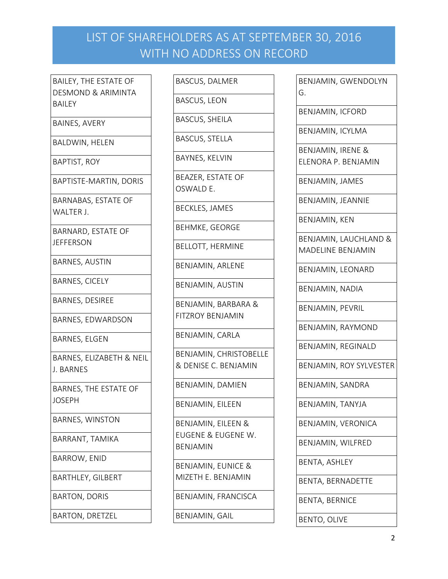BAILEY, THE ESTATE OF DESMOND & ARIMINTA BAILEY

BAINES, AVERY

BALDWIN, HELEN

BAPTIST, ROY

BAPTISTE-MARTIN, DORIS

BARNABAS, ESTATE OF WALTER J.

BARNARD, ESTATE OF **JEFFERSON** 

BARNES, AUSTIN

BARNES, CICELY

BARNES, DESIREE

BARNES, EDWARDSON

BARNES, ELGEN

BARNES, ELIZABETH & NEIL J. BARNES

BARNES, THE ESTATE OF JOSEPH

BARNES, WINSTON

BARRANT, TAMIKA

BARROW, ENID

BARTHLEY, GILBERT

BARTON, DORIS

BARTON, DRETZEL

BASCUS, DALMER

BASCUS, LEON

BASCUS, SHEILA

BASCUS, STELLA

BAYNES, KELVIN

BEAZER, ESTATE OF OSWALD E.

BECKLES, JAMES

BEHMKE, GEORGE

BELLOTT, HERMINE

BENJAMIN, ARLENE

BENJAMIN, AUSTIN

BENJAMIN, BARBARA & FITZROY BENJAMIN

BENJAMIN, CARLA

BENJAMIN, CHRISTOBELLE & DENISE C. BENJAMIN

BENJAMIN, DAMIEN

BENJAMIN, EILEEN

BENJAMIN, EILEEN & EUGENE & EUGENE W. BENJAMIN

BENJAMIN, EUNICE & MIZETH E. BENJAMIN

BENJAMIN, FRANCISCA

BENJAMIN, GAIL

BENJAMIN, GWENDOLYN G. BENJAMIN, ICFORD BENJAMIN, ICYLMA BENJAMIN, IRENE & ELENORA P. BENJAMIN BENJAMIN, JAMES BENJAMIN, JEANNIE BENJAMIN, KEN BENJAMIN, LAUCHLAND & MADELINE BENJAMIN BENJAMIN, LEONARD BENJAMIN, NADIA BENJAMIN, PEVRIL BENJAMIN, RAYMOND BENJAMIN, REGINALD BENJAMIN, ROY SYLVESTER BENJAMIN, SANDRA BENJAMIN, TANYJA BENJAMIN, VERONICA BENJAMIN, WILFRED BENTA, ASHLEY BENTA, BERNADETTE BENTA, BERNICE

BENTO, OLIVE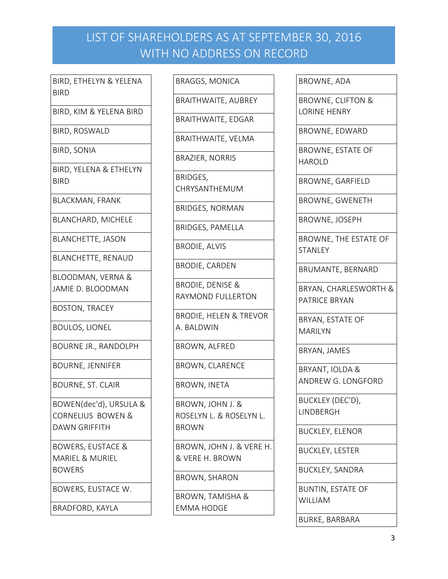BIRD, ETHELYN & YELENA BIRD

BIRD, KIM & YELENA BIRD

BIRD, ROSWALD

BIRD, SONIA

BIRD, YELENA & ETHELYN BIRD

BLACKMAN, FRANK

BLANCHARD, MICHELE

BLANCHETTE, JASON

BLANCHETTE, RENAUD

BLOODMAN, VERNA & JAMIE D. BLOODMAN

BOSTON, TRACEY

BOULOS, LIONEL

BOURNE JR., RANDOLPH

BOURNE, JENNIFER

BOURNE, ST. CLAIR

BOWEN(dec'd), URSULA & CORNELIUS BOWEN & DAWN GRIFFITH

BOWERS, EUSTACE & MARIEL & MURIEL BOWERS

BOWERS, EUSTACE W.

BRADFORD, KAYLA

BRAGGS, MONICA

BRAITHWAITE, AUBREY

BRAITHWAITE, EDGAR

BRAITHWAITE, VELMA

BRAZIER, NORRIS

BRIDGES,

CHRYSANTHEMUM

BRIDGES, NORMAN

BRIDGES, PAMELLA

BRODIE, ALVIS

BRODIE, CARDEN

BRODIE, DENISE & RAYMOND FULLERTON

BRODIE, HELEN & TREVOR A. BALDWIN

BROWN, ALFRED

BROWN, CLARENCE

BROWN, INETA

BROWN, JOHN J. & ROSELYN L. & ROSELYN L. BROWN

BROWN, JOHN J. & VERE H. & VERE H. BROWN

BROWN, SHARON

BROWN, TAMISHA & EMMA HODGE

BROWNE, ADA

BROWNE, CLIFTON & LORINE HENRY

BROWNE, EDWARD

BROWNE, ESTATE OF HAROLD

BROWNE, GARFIELD

BROWNE, GWENETH

BROWNE, JOSEPH

BROWNE, THE ESTATE OF **STANLEY** 

BRUMANTE, BERNARD

BRYAN, CHARLESWORTH & PATRICE BRYAN

BRYAN, ESTATE OF MARILYN

BRYAN, JAMES

BRYANT, IOLDA & ANDREW G. LONGFORD

BUCKLEY (DEC'D), **LINDBERGH** 

BUCKLEY, ELENOR

BUCKLEY, LESTER

BUCKLEY, SANDRA

BUNTIN, ESTATE OF WILLIAM

BURKE, BARBARA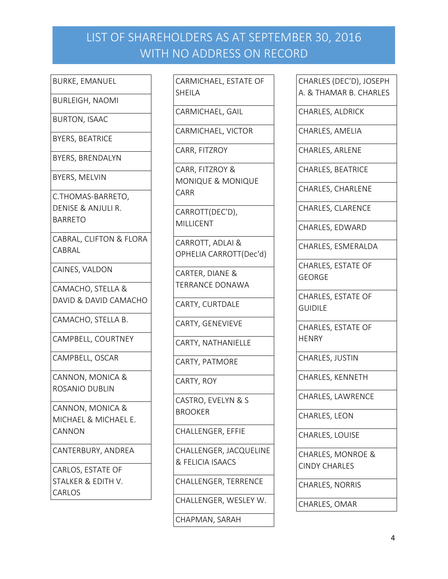BURKE, EMANUEL

BURLEIGH, NAOMI

BURTON, ISAAC

BYERS, BEATRICE

BYERS, BRENDALYN

BYERS, MELVIN

C.THOMAS-BARRETO, DENISE & ANJULI R.

BARRETO

CABRAL, CLIFTON & FLORA CABRAL

CAINES, VALDON

CAMACHO, STELLA & DAVID & DAVID CAMACHO

CAMACHO, STELLA B.

CAMPBELL, COURTNEY

CAMPBELL, OSCAR

CANNON, MONICA & ROSANIO DUBLIN

CANNON, MONICA & MICHAEL & MICHAEL E. **CANNON** 

CANTERBURY, ANDREA

CARLOS, ESTATE OF STALKER & EDITH V. CARLOS

CARMICHAEL, ESTATE OF SHEILA

CARMICHAEL, GAIL

CARMICHAEL, VICTOR

CARR, FITZROY

CARR, FITZROY & MONIQUE & MONIQUE CARR

CARROTT(DEC'D), MILLICENT

CARROTT, ADLAI & OPHELIA CARROTT(Dec'd)

CARTER, DIANE & TERRANCE DONAWA

CARTY, CURTDALE

CARTY, GENEVIEVE

CARTY, NATHANIELLE

CARTY, PATMORE

CARTY, ROY

CASTRO, EVELYN & S BROOKER

CHALLENGER, EFFIE

CHALLENGER, JACQUELINE & FELICIA ISAACS

CHALLENGER, TERRENCE

CHALLENGER, WESLEY W.

CHAPMAN, SARAH

CHARLES (DEC'D), JOSEPH A. & THAMAR B. CHARLES

CHARLES, ALDRICK

CHARLES, AMELIA

CHARLES, ARLENE

CHARLES, BEATRICE

CHARLES, CHARLENE

CHARLES, CLARENCE

CHARLES, EDWARD

CHARLES, ESMERALDA

CHARLES, ESTATE OF GEORGE

CHARLES, ESTATE OF GUIDILE

CHARLES, ESTATE OF **HENRY** 

CHARLES, JUSTIN

CHARLES, KENNETH

CHARLES, LAWRENCE

CHARLES, LEON

CHARLES, LOUISE

CHARLES, MONROE & CINDY CHARLES

CHARLES, NORRIS

CHARLES, OMAR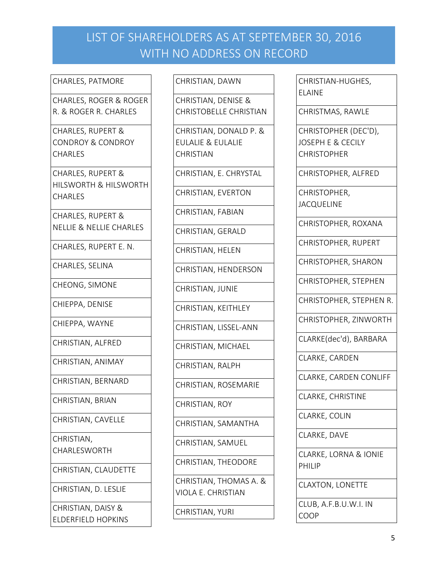#### CHARLES, PATMORE

CHARLES, ROGER & ROGER R. & ROGER R. CHARLES

CHARLES, RUPERT & CONDROY & CONDROY **CHARLES** 

CHARLES, RUPERT & HILSWORTH & HILSWORTH CHARLES

CHARLES, RUPERT & NELLIE & NELLIE CHARLES

CHARLES, RUPERT E. N.

CHARLES, SELINA

CHEONG, SIMONE

CHIEPPA, DENISE

CHIEPPA, WAYNE

CHRISTIAN, ALFRED

CHRISTIAN, ANIMAY

CHRISTIAN, BERNARD

CHRISTIAN, BRIAN

CHRISTIAN, CAVELLE

CHRISTIAN, CHARLESWORTH

CHRISTIAN, CLAUDETTE

CHRISTIAN, D. LESLIE

CHRISTIAN, DAISY & ELDERFIELD HOPKINS

#### CHRISTIAN, DAWN

CHRISTIAN, DENISE & CHRISTOBELLE CHRISTIAN

CHRISTIAN, DONALD P. & EULALIE & EULALIE **CHRISTIAN** 

CHRISTIAN, E. CHRYSTAL

CHRISTIAN, EVERTON

CHRISTIAN, FABIAN

CHRISTIAN, GERALD

CHRISTIAN, HELEN

CHRISTIAN, HENDERSON

CHRISTIAN, JUNIE

CHRISTIAN, KEITHLEY

CHRISTIAN, LISSEL-ANN

CHRISTIAN, MICHAEL

CHRISTIAN, RALPH

CHRISTIAN, ROSEMARIE

CHRISTIAN, ROY

CHRISTIAN, SAMANTHA

CHRISTIAN, SAMUEL

CHRISTIAN, THEODORE

CHRISTIAN, THOMAS A. & VIOLA E. CHRISTIAN

CHRISTIAN, YURI

CHRISTIAN-HUGHES, ELAINE

CHRISTMAS, RAWLE

CHRISTOPHER (DEC'D), JOSEPH E & CECILY **CHRISTOPHER** 

CHRISTOPHER, ALFRED

CHRISTOPHER, JACQUELINE

CHRISTOPHER, ROXANA

CHRISTOPHER, RUPERT

CHRISTOPHER, SHARON

CHRISTOPHER, STEPHEN

CHRISTOPHER, STEPHEN R.

CHRISTOPHER, ZINWORTH

CLARKE(dec'd), BARBARA

CLARKE, CARDEN

CLARKE, CARDEN CONLIFF

CLARKE, CHRISTINE

CLARKE, COLIN

CLARKE, DAVE

CLARKE, LORNA & IONIE PHILIP

CLAXTON, LONETTE

CLUB, A.F.B.U.W.I. IN COOP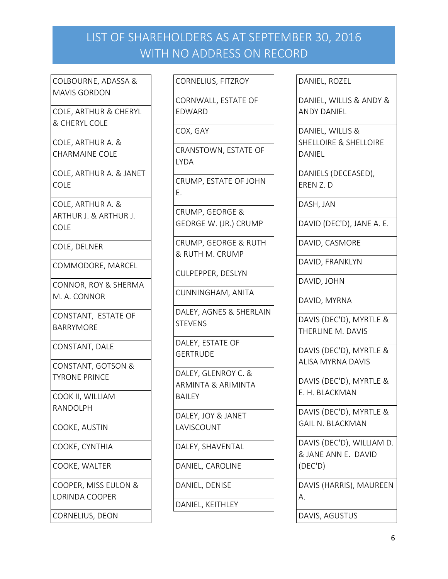COLBOURNE, ADASSA & MAVIS GORDON

COLE, ARTHUR & CHERYL & CHERYL COLE

COLE, ARTHUR A. & CHARMAINE COLE

COLE, ARTHUR A. & JANET COLE

COLE, ARTHUR A. & ARTHUR J. & ARTHUR J. COLE

COLE, DELNER

COMMODORE, MARCEL

CONNOR, ROY & SHERMA M. A. CONNOR

CONSTANT, ESTATE OF BARRYMORE

CONSTANT, DALE

CONSTANT, GOTSON & TYRONE PRINCE

COOK II, WILLIAM RANDOLPH

COOKE, AUSTIN

COOKE, CYNTHIA

COOKE, WALTER

COOPER, MISS EULON & LORINDA COOPER

CORNELIUS, DEON

CORNELIUS, FITZROY

CORNWALL, ESTATE OF EDWARD

COX, GAY

CRANSTOWN, ESTATE OF LYDA

CRUMP, ESTATE OF JOHN E.

CRUMP, GEORGE & GEORGE W. (JR.) CRUMP

CRUMP, GEORGE & RUTH & RUTH M. CRUMP

CULPEPPER, DESLYN

CUNNINGHAM, ANITA

DALEY, AGNES & SHERLAIN **STEVENS** 

DALEY, ESTATE OF **GERTRUDE** 

DALEY, GLENROY C. & ARMINTA & ARIMINTA BAILEY

DALEY, JOY & JANET LAVISCOUNT

DALEY, SHAVENTAL

DANIEL, CAROLINE

DANIEL, DENISE

DANIEL, KEITHLEY

DANIEL, ROZEL

DANIEL, WILLIS & ANDY & ANDY DANIEL

DANIEL, WILLIS & SHELLOIRE & SHELLOIRE DANIEL

DANIELS (DECEASED), EREN Z. D

DASH, JAN

DAVID (DEC'D), JANE A. E.

DAVID, CASMORE

DAVID, FRANKLYN

DAVID, JOHN

DAVID, MYRNA

DAVIS (DEC'D), MYRTLE & THERLINE M. DAVIS

DAVIS (DEC'D), MYRTLE & ALISA MYRNA DAVIS

DAVIS (DEC'D), MYRTLE & E. H. BLACKMAN

DAVIS (DEC'D), MYRTLE & GAIL N. BLACKMAN

DAVIS (DEC'D), WILLIAM D. & JANE ANN E. DAVID (DEC'D)

DAVIS (HARRIS), MAUREEN A.

DAVIS, AGUSTUS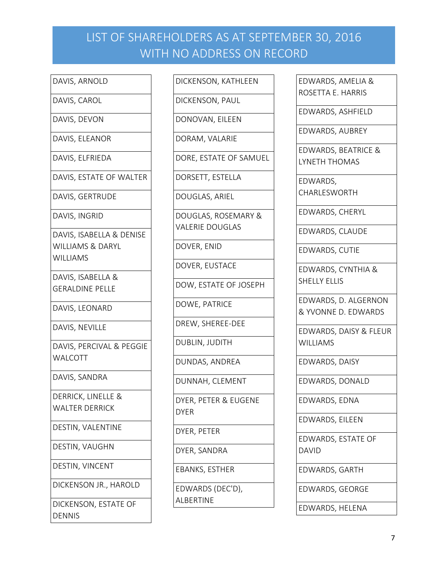### DAVIS, ARNOLD

DAVIS, CAROL

DAVIS, DEVON

DAVIS, ELEANOR

DAVIS, ELFRIEDA

DAVIS, ESTATE OF WALTER

DAVIS, GERTRUDE

DAVIS, INGRID

DAVIS, ISABELLA & DENISE WILLIAMS & DARYL WILLIAMS

DAVIS, ISABELLA & GERALDINE PELLE

DAVIS, LEONARD

DAVIS, NEVILLE

DAVIS, PERCIVAL & PEGGIE WALCOTT

DAVIS, SANDRA

DERRICK, LINELLE & WALTER DERRICK

DESTIN, VALENTINE

DESTIN, VAUGHN

DESTIN, VINCENT

DICKENSON JR., HAROLD

DICKENSON, ESTATE OF DENNIS

DICKENSON, KATHLEEN

DICKENSON, PAUL

DONOVAN, EILEEN

DORAM, VALARIE

DORE, ESTATE OF SAMUEL

DORSETT, ESTELLA

DOUGLAS, ARIEL

DOUGLAS, ROSEMARY & VALERIE DOUGLAS

DOVER, ENID

DOVER, EUSTACE

DOW, ESTATE OF JOSEPH

DOWE, PATRICE

DREW, SHEREE-DEE

DUBLIN, JUDITH

DUNDAS, ANDREA

DUNNAH, CLEMENT

DYER, PETER & EUGENE DYER

DYER, PETER

DYER, SANDRA

EBANKS, ESTHER

EDWARDS (DEC'D), ALBERTINE

EDWARDS, AMELIA & ROSETTA E. HARRIS

EDWARDS, ASHFIELD

EDWARDS, AUBREY

EDWARDS, BEATRICE & LYNETH THOMAS

EDWARDS, CHARLESWORTH

EDWARDS, CHERYL

EDWARDS, CLAUDE

EDWARDS, CUTIE

EDWARDS, CYNTHIA & SHELLY ELLIS

EDWARDS, D. ALGERNON & YVONNE D. EDWARDS

EDWARDS, DAISY & FLEUR **WILLIAMS** 

EDWARDS, DAISY

EDWARDS, DONALD

EDWARDS, EDNA

EDWARDS, EILEEN

EDWARDS, ESTATE OF DAVID

EDWARDS, GARTH

EDWARDS, GEORGE

EDWARDS, HELENA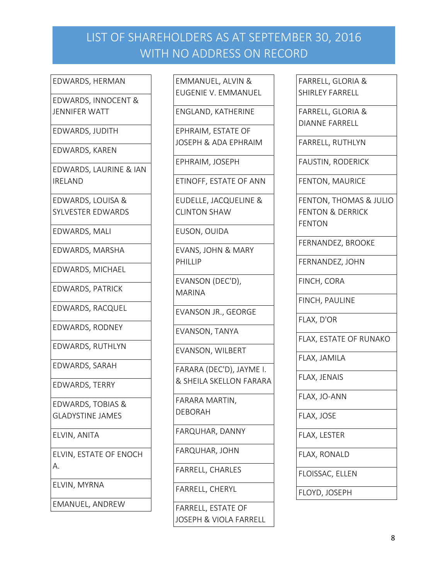#### EDWARDS, HERMAN

EDWARDS, INNOCENT & JENNIFER WATT

EDWARDS, JUDITH

EDWARDS, KAREN

EDWARDS, LAURINE & IAN IRELAND

EDWARDS, LOUISA & SYLVESTER EDWARDS

EDWARDS, MALI

EDWARDS, MARSHA

EDWARDS, MICHAEL

EDWARDS, PATRICK

EDWARDS, RACQUEL

EDWARDS, RODNEY

EDWARDS, RUTHLYN

EDWARDS, SARAH

EDWARDS, TERRY

EDWARDS, TOBIAS & GLADYSTINE JAMES

ELVIN, ANITA

ELVIN, ESTATE OF ENOCH A.

ELVIN, MYRNA

EMANUEL, ANDREW

EMMANUEL, ALVIN & EUGENIE V. EMMANUEL

ENGLAND, KATHERINE

EPHRAIM, ESTATE OF JOSEPH & ADA EPHRAIM

EPHRAIM, JOSEPH

ETINOFF, ESTATE OF ANN

EUDELLE, JACQUELINE & CLINTON SHAW

EUSON, OUIDA

EVANS, JOHN & MARY PHILLIP

EVANSON (DEC'D), MARINA

EVANSON JR., GEORGE

EVANSON, TANYA

EVANSON, WILBERT

FARARA (DEC'D), JAYME I. & SHEILA SKELLON FARARA

FARARA MARTIN, DEBORAH

FARQUHAR, DANNY

FARQUHAR, JOHN

FARRELL, CHARLES

FARRELL, CHERYL

FARRELL, ESTATE OF JOSEPH & VIOLA FARRELL FARRELL, GLORIA & SHIRLEY FARRELL

FARRELL, GLORIA & DIANNE FARRELL

FARRELL, RUTHLYN

FAUSTIN, RODERICK

FENTON, MAURICE

FENTON, THOMAS & JULIO FENTON & DERRICK FENTON

FERNANDEZ, BROOKE

FERNANDEZ, JOHN

FINCH, CORA

FINCH, PAULINE

FLAX, D'OR

FLAX, ESTATE OF RUNAKO

FLAX, JAMILA

FLAX, JENAIS

FLAX, JO-ANN

FLAX, JOSE

FLAX, LESTER

FLAX, RONALD

FLOISSAC, ELLEN

FLOYD, JOSEPH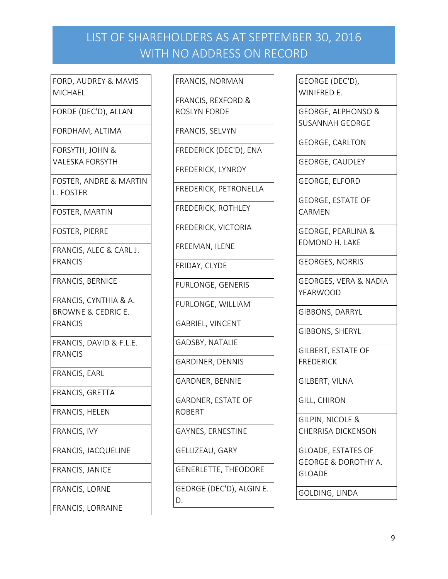FORD, AUDREY & MAVIS **MICHAEL** 

FORDE (DEC'D), ALLAN

FORDHAM, ALTIMA

FORSYTH, JOHN & VALESKA FORSYTH

FOSTER, ANDRE & MARTIN L. FOSTER

FOSTER, MARTIN

FOSTER, PIERRE

FRANCIS, ALEC & CARL J. FRANCIS

FRANCIS, BERNICE

FRANCIS, CYNTHIA & A. BROWNE & CEDRIC E. FRANCIS

FRANCIS, DAVID & F.L.E. FRANCIS

FRANCIS, EARL

FRANCIS, GRETTA

FRANCIS, HELEN

FRANCIS, IVY

FRANCIS, JACQUELINE

FRANCIS, JANICE

FRANCIS, LORNE

FRANCIS, LORRAINE

FRANCIS, NORMAN

FRANCIS, REXFORD & ROSLYN FORDE

FRANCIS, SELVYN

FREDERICK (DEC'D), ENA

FREDERICK, LYNROY

FREDERICK, PETRONELLA

FREDERICK, ROTHLEY

FREDERICK, VICTORIA

FREEMAN, ILENE

FRIDAY, CLYDE

FURLONGE, GENERIS

FURLONGE, WILLIAM

GABRIEL, VINCENT

GADSBY, NATALIE

GARDINER, DENNIS

GARDNER, BENNIE

GARDNER, ESTATE OF ROBERT

GAYNES, ERNESTINE

GELLIZEAU, GARY

GENERLETTE, THEODORE

GEORGE (DEC'D), ALGIN E. D.

GEORGE (DEC'D), WINIFRED E.

GEORGE, ALPHONSO & SUSANNAH GEORGE

GEORGE, CARLTON

GEORGE, CAUDLEY

GEORGE, ELFORD

GEORGE, ESTATE OF CARMEN

GEORGE, PEARLINA & EDMOND H. LAKE

GEORGES, NORRIS

GEORGES, VERA & NADIA YEARWOOD

GIBBONS, DARRYL

GIBBONS, SHERYL

GILBERT, ESTATE OF FREDERICK

GILBERT, VILNA

GILL, CHIRON

GILPIN, NICOLE & CHERRISA DICKENSON

GLOADE, ESTATES OF GEORGE & DOROTHY A. GLOADE

GOLDING, LINDA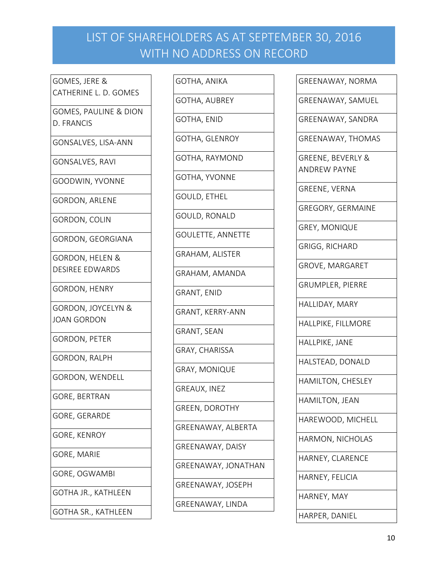GOMES, JERE & CATHERINE L. D. GOMES

GOMES, PAULINE & DION D. FRANCIS

GONSALVES, LISA-ANN

GONSALVES, RAVI

GOODWIN, YVONNE

GORDON, ARLENE

GORDON, COLIN

GORDON, GEORGIANA

GORDON, HELEN & DESIREE EDWARDS

GORDON, HENRY

GORDON, JOYCELYN & JOAN GORDON

GORDON, PETER

GORDON, RALPH

GORDON, WENDELL

GORE, BERTRAN

GORE, GERARDE

GORE, KENROY

GORE, MARIE

GORE, OGWAMBI

GOTHA JR., KATHLEEN

GOTHA SR., KATHLEEN

GOTHA, ANIKA

GOTHA, AUBREY

GOTHA, ENID

GOTHA, GLENROY

GOTHA, RAYMOND

GOTHA, YVONNE

GOULD, ETHEL

GOULD, RONALD

GOULETTE, ANNETTE

GRAHAM, ALISTER

GRAHAM, AMANDA

GRANT, ENID

GRANT, KERRY-ANN

GRANT, SEAN

GRAY, CHARISSA

GRAY, MONIQUE

GREAUX, INEZ

GREEN, DOROTHY

GREENAWAY, ALBERTA

GREENAWAY, DAISY

GREENAWAY, JONATHAN

GREENAWAY, JOSEPH

GREENAWAY, LINDA

GREENAWAY, NORMA

GREENAWAY, SAMUEL

GREENAWAY, SANDRA

GREENAWAY, THOMAS

GREENE, BEVERLY & ANDREW PAYNE

GREENE, VERNA

GREGORY, GERMAINE

GREY, MONIQUE

GRIGG, RICHARD

GROVE, MARGARET

GRUMPLER, PIERRE

HALLIDAY, MARY

HALLPIKE, FILLMORE

HALLPIKE, JANE

HALSTEAD, DONALD

HAMILTON, CHESLEY

HAMILTON, JEAN

HAREWOOD, MICHELL

HARMON, NICHOLAS

HARNEY, CLARENCE

HARNEY, FELICIA

HARNEY, MAY

HARPER, DANIEL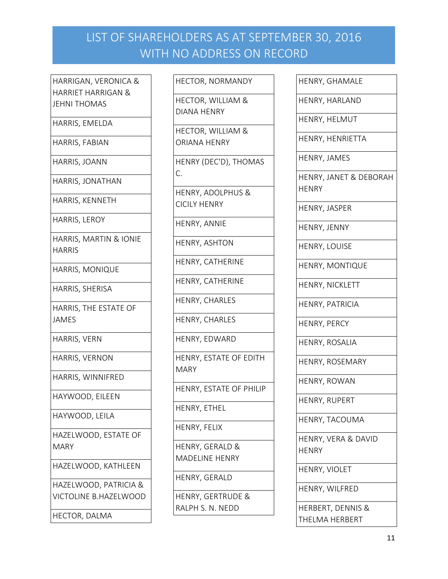HARRIGAN, VERONICA & HARRIET HARRIGAN & JEHNI THOMAS

HARRIS, EMELDA

HARRIS, FABIAN

HARRIS, JOANN

HARRIS, JONATHAN

HARRIS, KENNETH

HARRIS, LEROY

HARRIS, MARTIN & IONIE HARRIS

HARRIS, MONIQUE

HARRIS, SHERISA

HARRIS, THE ESTATE OF JAMES

HARRIS, VERN

HARRIS, VERNON

HARRIS, WINNIFRED

HAYWOOD, EILEEN

HAYWOOD, LEILA

HAZELWOOD, ESTATE OF MARY

HAZELWOOD, KATHLEEN

HAZELWOOD, PATRICIA & VICTOLINE B.HAZELWOOD

HECTOR, DALMA

HECTOR, NORMANDY

HECTOR, WILLIAM & DIANA HENRY

HECTOR, WILLIAM & ORIANA HENRY

HENRY (DEC'D), THOMAS C.

HENRY, ADOLPHUS & CICILY HENRY

HENRY, ANNIE

HENRY, ASHTON

HENRY, CATHERINE

HENRY, CATHERINE

HENRY, CHARLES

HENRY, CHARLES

HENRY, EDWARD

HENRY, ESTATE OF EDITH MARY

HENRY, ESTATE OF PHILIP

HENRY, ETHEL

HENRY, FELIX

HENRY, GERALD & MADELINE HENRY

HENRY, GERALD

HENRY, GERTRUDE & RALPH S. N. NEDD

HENRY, GHAMALE HENRY, HARLAND HENRY, HELMUT HENRY, HENRIETTA HENRY, JAMES HENRY, JANET & DEBORAH **HENRY** HENRY, JASPER HENRY, JENNY HENRY, LOUISE HENRY, MONTIQUE HENRY, NICKLETT HENRY, PATRICIA HENRY, PERCY HENRY, ROSALIA HENRY, ROSEMARY HENRY, ROWAN HENRY, RUPERT HENRY, TACOUMA HENRY, VERA & DAVID HENRY HENRY, VIOLET

HENRY, WILFRED

HERBERT, DENNIS & THELMA HERBERT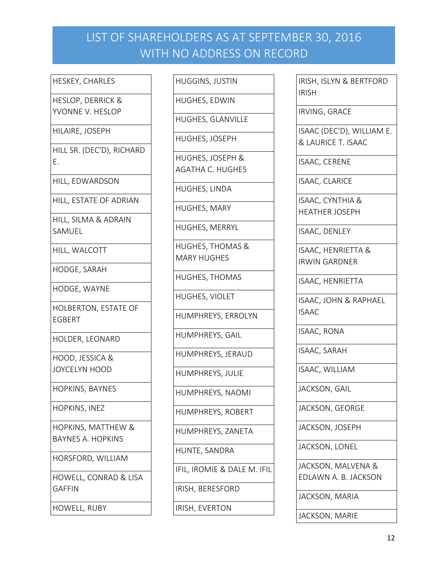HESKEY, CHARLES

HESLOP, DERRICK & YVONNE V. HESLOP

HILAIRE, JOSEPH

HILL SR. (DEC'D), RICHARD E.

HILL, EDWARDSON

HILL, ESTATE OF ADRIAN

HILL, SILMA & ADRAIN SAMUEL

HILL, WALCOTT

HODGE, SARAH

HODGE, WAYNE

HOLBERTON, ESTATE OF EGBERT

HOLDER, LEONARD

HOOD, JESSICA & JOYCELYN HOOD

HOPKINS, BAYNES

HOPKINS, INEZ

HOPKINS, MATTHEW & BAYNES A. HOPKINS

HORSFORD, WILLIAM

HOWELL, CONRAD & LISA GAFFIN

HOWELL, RUBY

HUGGINS, JUSTIN

HUGHES, EDWIN

HUGHES, JOSEPH

HUGHES, GLANVILLE

HUGHES, JOSEPH & AGATHA C. HUGHES

HUGHES, LINDA

HUGHES, MARY

HUGHES, MERRYL

HUGHES, THOMAS & MARY HUGHES

HUGHES, THOMAS

HUGHES, VIOLET

HUMPHREYS, ERROLYN

HUMPHREYS, GAIL

HUMPHREYS, JERAUD

HUMPHREYS, JULIE

HUMPHREYS, NAOMI

HUMPHREYS, ROBERT

HUMPHREYS, ZANETA

HUNTE, SANDRA

IFIL, IROMIE & DALE M. IFIL

IRISH, BERESFORD

IRISH, EVERTON

IRISH, ISLYN & BERTFORD IRISH IRVING, GRACE ISAAC (DEC'D), WILLIAM E. & LAURICE T. ISAAC ISAAC, CERENE ISAAC, CLARICE ISAAC, CYNTHIA & HEATHER JOSEPH ISAAC, DENLEY ISAAC, HENRIETTA & IRWIN GARDNER ISAAC, HENRIETTA

ISAAC, JOHN & RAPHAEL ISAAC

ISAAC, RONA

ISAAC, SARAH

ISAAC, WILLIAM

JACKSON, GAIL

JACKSON, GEORGE

JACKSON, JOSEPH

JACKSON, LONEL

JACKSON, MALVENA & EDLAWN A. B. JACKSON

JACKSON, MARIA

JACKSON, MARIE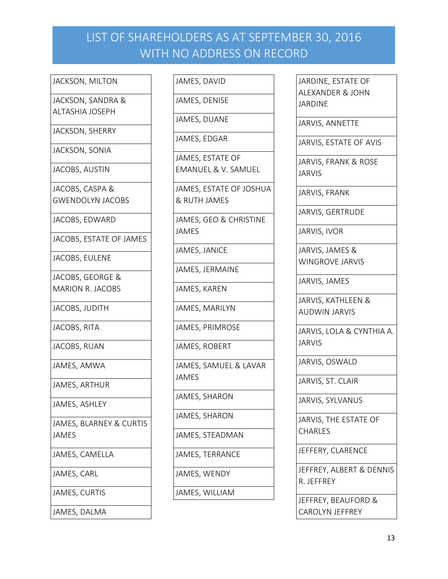#### JACKSON, MILTON

JACKSON, SANDRA & ALTASHIA JOSEPH

JACKSON, SHERRY

JACKSON, SONIA

JACOBS, AUSTIN

JACOBS, CASPA & GWENDOLYN JACOBS

JACOBS, EDWARD

JACOBS, ESTATE OF JAMES

JACOBS, EULENE

JACOBS, GEORGE & MARION R. JACOBS

JACOBS, JUDITH

JACOBS, RITA

JACOBS, RUAN

JAMES, AMWA

JAMES, ARTHUR

JAMES, ASHLEY

JAMES, BLARNEY & CURTIS JAMES

JAMES, CAMELLA

JAMES, CARL

JAMES, CURTIS

JAMES, DALMA

JAMES, DAVID

JAMES, DENISE

JAMES, DUANE

JAMES, EDGAR

JAMES, ESTATE OF EMANUEL & V. SAMUEL

JAMES, ESTATE OF JOSHUA & RUTH JAMES

JAMES, GEO & CHRISTINE JAMES

JAMES, JANICE

JAMES, JERMAINE

JAMES, KAREN

JAMES, MARILYN

JAMES, PRIMROSE

JAMES, ROBERT

JAMES, SAMUEL & LAVAR JAMES

JAMES, SHARON

JAMES, SHARON

JAMES, STEADMAN

JAMES, TERRANCE

JAMES, WENDY

JAMES, WILLIAM

JARDINE, ESTATE OF ALEXANDER & JOHN JARDINE

JARVIS, ANNETTE

JARVIS, ESTATE OF AVIS

JARVIS, FRANK & ROSE JARVIS

JARVIS, FRANK

JARVIS, GERTRUDE

JARVIS, IVOR

JARVIS, JAMES & WINGROVE JARVIS

JARVIS, JAMES

JARVIS, KATHLEEN & AUDWIN JARVIS

JARVIS, LOLA & CYNTHIA A. JARVIS

JARVIS, OSWALD

JARVIS, ST. CLAIR

JARVIS, SYLVANUS

JARVIS, THE ESTATE OF CHARLES

JEFFERY, CLARENCE

JEFFREY, ALBERT & DENNIS R. JEFFREY

JEFFREY, BEAUFORD & CAROLYN JEFFREY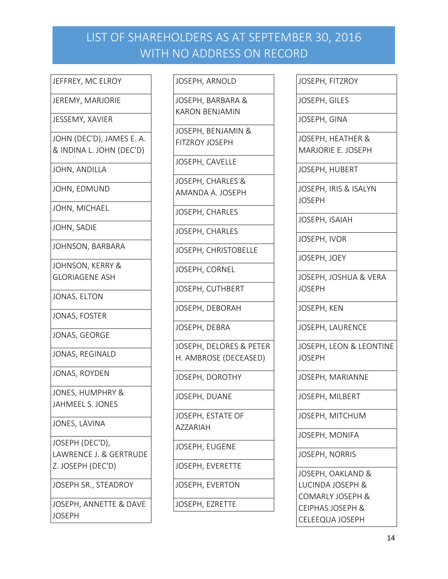### JEFFREY, MC ELROY

JEREMY, MARJORIE

#### JESSEMY, XAVIER

JOHN (DEC'D), JAMES E. A. & INDINA L. JOHN (DEC'D)

JOHN, ANDILLA

JOHN, EDMUND

JOHN, MICHAEL

JOHN, SADIE

JOHNSON, BARBARA

JOHNSON, KERRY & GLORIAGENE ASH

JONAS, ELTON

JONAS, FOSTER

JONAS, GEORGE

JONAS, REGINALD

JONAS, ROYDEN

JONES, HUMPHRY & JAHMEEL S. JONES

JONES, LAVINA

JOSEPH (DEC'D), LAWRENCE J. & GERTRUDE Z. JOSEPH (DEC'D)

JOSEPH SR., STEADROY

JOSEPH, ANNETTE & DAVE **JOSEPH** 

#### JOSEPH, ARNOLD

JOSEPH, BARBARA & KARON BENJAMIN

JOSEPH, BENJAMIN & FITZROY JOSEPH

JOSEPH, CAVELLE

JOSEPH, CHARLES & AMANDA A. JOSEPH

JOSEPH, CHARLES

JOSEPH, CHARLES

JOSEPH, CHRISTOBELLE

JOSEPH, CORNEL

JOSEPH, CUTHBERT

JOSEPH, DEBORAH

JOSEPH, DEBRA

JOSEPH, DELORES & PETER H. AMBROSE (DECEASED)

JOSEPH, DOROTHY

JOSEPH, DUANE

JOSEPH, ESTATE OF AZZARIAH

JOSEPH, EUGENE

JOSEPH, EVERETTE

JOSEPH, EVERTON

JOSEPH, EZRETTE

| JOSEPH, FITZROY |  |
|-----------------|--|
|-----------------|--|

JOSEPH, GILES

JOSEPH, GINA

JOSEPH, HEATHER & MARJORIE E. JOSEPH

JOSEPH, HUBERT

JOSEPH, IRIS & ISALYN JOSEPH

JOSEPH, ISAIAH

JOSEPH, IVOR

JOSEPH, JOEY

JOSEPH, JOSHUA & VERA JOSEPH

JOSEPH, KEN

JOSEPH, LAURENCE

JOSEPH, LEON & LEONTINE JOSEPH

JOSEPH, MARIANNE

JOSEPH, MILBERT

JOSEPH, MITCHUM

JOSEPH, MONIFA

JOSEPH, NORRIS

JOSEPH, OAKLAND & LUCINDA JOSEPH & COMARLY JOSEPH & CEIPHAS JOSEPH & CELEEQUA JOSEPH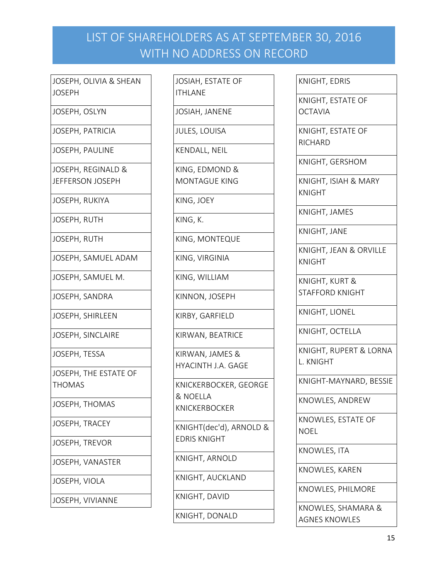JOSEPH, OLIVIA & SHEAN JOSEPH

JOSEPH, OSLYN

JOSEPH, PATRICIA

JOSEPH, PAULINE

JOSEPH, REGINALD & JEFFERSON JOSEPH

JOSEPH, RUKIYA

JOSEPH, RUTH

JOSEPH, RUTH

JOSEPH, SAMUEL ADAM

JOSEPH, SAMUEL M.

JOSEPH, SANDRA

JOSEPH, SHIRLEEN

JOSEPH, SINCLAIRE

JOSEPH, TESSA

JOSEPH, THE ESTATE OF THOMAS

JOSEPH, THOMAS

JOSEPH, TRACEY

JOSEPH, TREVOR

JOSEPH, VANASTER

JOSEPH, VIOLA

JOSEPH, VIVIANNE

JOSIAH, ESTATE OF ITHLANE

JOSIAH, JANENE

JULES, LOUISA

KENDALL, NEIL

KING, EDMOND & MONTAGUE KING

KING, JOEY

KING, K.

KING, MONTEQUE

KING, VIRGINIA

KING, WILLIAM

KINNON, JOSEPH

KIRBY, GARFIELD

KIRWAN, BEATRICE

KIRWAN, JAMES & HYACINTH J.A. GAGE

KNICKERBOCKER, GEORGE & NOELLA KNICKERBOCKER

KNIGHT(dec'd), ARNOLD & EDRIS KNIGHT

KNIGHT, ARNOLD

KNIGHT, AUCKLAND

KNIGHT, DAVID

KNIGHT, DONALD

KNIGHT, EDRIS

KNIGHT, ESTATE OF **OCTAVIA** 

KNIGHT, ESTATE OF RICHARD

KNIGHT, GERSHOM

KNIGHT, ISIAH & MARY KNIGHT

KNIGHT, JAMES

KNIGHT, JANE

KNIGHT, JEAN & ORVILLE KNIGHT

KNIGHT, KURT & STAFFORD KNIGHT

KNIGHT, LIONEL

KNIGHT, OCTELLA

KNIGHT, RUPERT & LORNA L. KNIGHT

KNIGHT-MAYNARD, BESSIE

KNOWLES, ANDREW

KNOWLES, ESTATE OF NOEL

KNOWLES, ITA

KNOWLES, KAREN

KNOWLES, PHILMORE

KNOWLES, SHAMARA & AGNES KNOWLES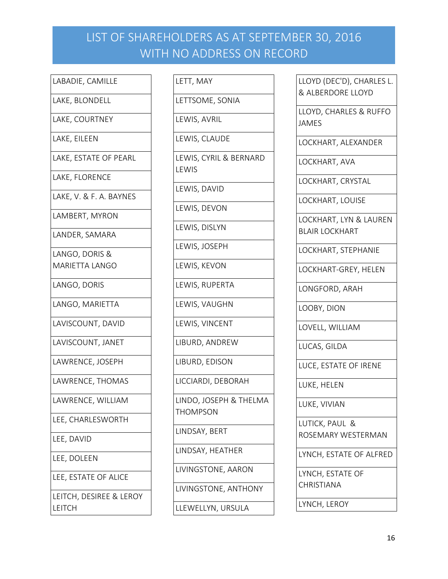### LABADIE, CAMILLE

LAKE, BLONDELL

LAKE, COURTNEY

LAKE, EILEEN

LAKE, ESTATE OF PEARL

LAKE, FLORENCE

LAKE, V. & F. A. BAYNES

LAMBERT, MYRON

LANDER, SAMARA

LANGO, DORIS & MARIETTA LANGO

LANGO, DORIS

LANGO, MARIETTA

LAVISCOUNT, DAVID

LAVISCOUNT, JANET

LAWRENCE, JOSEPH

LAWRENCE, THOMAS

LAWRENCE, WILLIAM

LEE, CHARLESWORTH

LEE, DAVID

LEE, DOLEEN

LEE, ESTATE OF ALICE

LEITCH, DESIREE & LEROY LEITCH

LETT, MAY

LETTSOME, SONIA

LEWIS, AVRIL

LEWIS, CLAUDE

LEWIS, CYRIL & BERNARD LEWIS

LEWIS, DAVID

LEWIS, DEVON

LEWIS, DISLYN

LEWIS, JOSEPH

LEWIS, KEVON

LEWIS, RUPERTA

LEWIS, VAUGHN

LEWIS, VINCENT

LIBURD, ANDREW

LIBURD, EDISON

LICCIARDI, DEBORAH

LINDO, JOSEPH & THELMA THOMPSON

LINDSAY, BERT

LINDSAY, HEATHER

LIVINGSTONE, AARON

LIVINGSTONE, ANTHONY

LLEWELLYN, URSULA

LLOYD (DEC'D), CHARLES L. & ALBERDORE LLOYD

LLOYD, CHARLES & RUFFO JAMES

LOCKHART, ALEXANDER

LOCKHART, AVA

LOCKHART, CRYSTAL

LOCKHART, LOUISE

LOCKHART, LYN & LAUREN BLAIR LOCKHART

LOCKHART, STEPHANIE

LOCKHART-GREY, HELEN

LONGFORD, ARAH

LOOBY, DION

LOVELL, WILLIAM

LUCAS, GILDA

LUCE, ESTATE OF IRENE

LUKE, HELEN

LUKE, VIVIAN

LUTICK, PAUL & ROSEMARY WESTERMAN

LYNCH, ESTATE OF ALFRED

LYNCH, ESTATE OF

CHRISTIANA

LYNCH, LEROY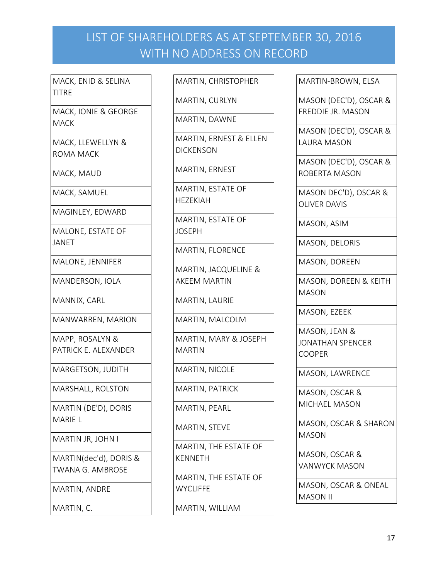MACK, ENID & SELINA TITRE

MACK, IONIE & GEORGE **MACK** 

MACK, LLEWELLYN & ROMA MACK

MACK, MAUD

MACK, SAMUEL

MAGINLEY, EDWARD

MALONE, ESTATE OF JANET

MALONE, JENNIFER

MANDERSON, IOLA

MANNIX, CARL

MANWARREN, MARION

MAPP, ROSALYN & PATRICK E. ALEXANDER

MARGETSON, JUDITH

MARSHALL, ROLSTON

MARTIN (DE'D), DORIS MARIE L

MARTIN JR, JOHN I

MARTIN(dec'd), DORIS & TWANA G. AMBROSE

MARTIN, ANDRE

MARTIN, C.

MARTIN, CHRISTOPHER

MARTIN, CURLYN

MARTIN, DAWNE

MARTIN, ERNEST & ELLEN **DICKENSON** 

MARTIN, ERNEST

MARTIN, ESTATE OF HEZEKIAH

MARTIN, ESTATE OF JOSEPH

MARTIN, FLORENCE

MARTIN, JACQUELINE & AKEEM MARTIN

MARTIN, LAURIE

MARTIN, MALCOLM

MARTIN, MARY & JOSEPH MARTIN

MARTIN, NICOLE

MARTIN, PATRICK

MARTIN, PEARL

MARTIN, STEVE

MARTIN, THE ESTATE OF KENNETH

MARTIN, THE ESTATE OF **WYCLIFFE** 

MARTIN, WILLIAM

MARTIN-BROWN, ELSA

MASON (DEC'D), OSCAR & FREDDIE JR. MASON

MASON (DEC'D), OSCAR & LAURA MASON

MASON (DEC'D), OSCAR & ROBERTA MASON

MASON DEC'D), OSCAR & OLIVER DAVIS

MASON, ASIM

MASON, DELORIS

MASON, DOREEN

MASON, DOREEN & KEITH MASON

MASON, EZEEK

MASON, JEAN & JONATHAN SPENCER COOPER

MASON, LAWRENCE

MASON, OSCAR & MICHAEL MASON

MASON, OSCAR & SHARON MASON

MASON, OSCAR & VANWYCK MASON

MASON, OSCAR & ONEAL MASON II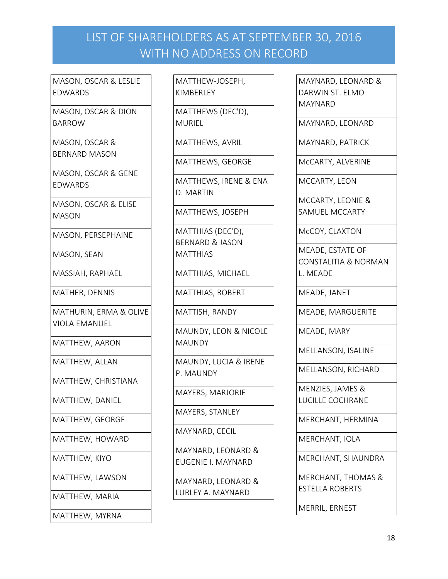MASON, OSCAR & LESLIE EDWARDS

MASON, OSCAR & DION BARROW

MASON, OSCAR & BERNARD MASON

MASON, OSCAR & GENE EDWARDS

MASON, OSCAR & ELISE MASON

MASON, PERSEPHAINE

MASON, SEAN

MASSIAH, RAPHAEL

MATHER, DENNIS

MATHURIN, ERMA & OLIVE VIOLA EMANUEL

MATTHEW, AARON

MATTHEW, ALLAN

MATTHEW, CHRISTIANA

MATTHEW, DANIEL

MATTHEW, GEORGE

MATTHEW, HOWARD

MATTHEW, KIYO

MATTHEW, LAWSON

MATTHEW, MARIA

MATTHEW, MYRNA

MATTHEW-JOSEPH, KIMBERLEY

MATTHEWS (DEC'D), MURIEL

MATTHEWS, AVRIL

MATTHEWS, GEORGE

MATTHEWS, IRENE & ENA D. MARTIN

MATTHEWS, JOSEPH

MATTHIAS (DEC'D), BERNARD & JASON MATTHIAS

MATTHIAS, MICHAEL

MATTHIAS, ROBERT

MATTISH, RANDY

MAUNDY, LEON & NICOLE **MAUNDY** 

MAUNDY, LUCIA & IRENE P. MAUNDY

MAYERS, MARJORIE

MAYERS, STANLEY

MAYNARD, CECIL

MAYNARD, LEONARD & EUGENIE I. MAYNARD

MAYNARD, LEONARD & LURLEY A. MAYNARD

MAYNARD, LEONARD & DARWIN ST. ELMO MAYNARD

MAYNARD, LEONARD

MAYNARD, PATRICK

McCARTY, ALVERINE

MCCARTY, LEON

MCCARTY, LEONIE & SAMUEL MCCARTY

McCOY, CLAXTON

MEADE, ESTATE OF CONSTALITIA & NORMAN L. MEADE

MEADE, JANET

MEADE, MARGUERITE

MEADE, MARY

MELLANSON, ISALINE

MELLANSON, RICHARD

MENZIES, JAMES & LUCILLE COCHRANE

MERCHANT, HERMINA

MERCHANT, IOLA

MERCHANT, SHAUNDRA

MERCHANT, THOMAS & ESTELLA ROBERTS

MERRIL, ERNEST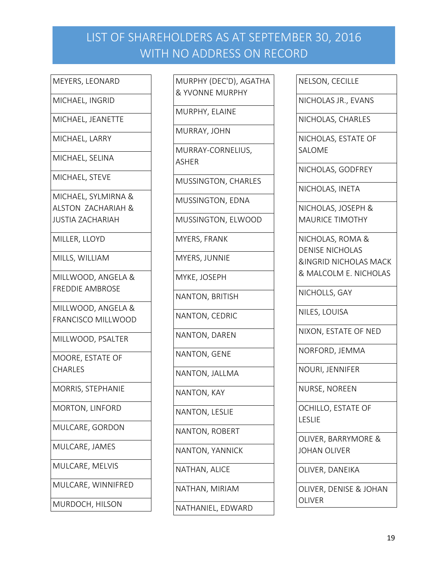MICHAEL, INGRID

MICHAEL, JEANETTE

MICHAEL, LARRY

MICHAEL, SELINA

MICHAEL, STEVE

MICHAEL, SYLMIRNA & ALSTON ZACHARIAH & JUSTIA ZACHARIAH

MILLER, LLOYD

MILLS, WILLIAM

MILLWOOD, ANGELA & FREDDIE AMBROSE

MILLWOOD, ANGELA & FRANCISCO MILLWOOD

MILLWOOD, PSALTER

MOORE, ESTATE OF CHARLES

MORRIS, STEPHANIE

MORTON, LINFORD

MULCARE, GORDON

MULCARE, JAMES

MULCARE, MELVIS

MULCARE, WINNIFRED

MURDOCH, HILSON

MURPHY (DEC'D), AGATHA & YVONNE MURPHY MURPHY, ELAINE MURRAY, JOHN MURRAY-CORNELIUS, ASHER MUSSINGTON, CHARLES MUSSINGTON, EDNA MUSSINGTON, ELWOOD MYERS, FRANK MYERS, JUNNIE MYKE, JOSEPH NANTON, BRITISH NANTON, CEDRIC NANTON, DAREN NANTON, GENE NANTON, JALLMA NANTON, KAY NANTON, LESLIE NANTON, ROBERT NANTON, YANNICK NATHAN, ALICE NATHAN, MIRIAM NATHANIEL, EDWARD

NELSON, CECILLE

NICHOLAS JR., EVANS

NICHOLAS, CHARLES

NICHOLAS, ESTATE OF SALOME

NICHOLAS, GODFREY

NICHOLAS, INETA

NICHOLAS, JOSEPH & MAURICE TIMOTHY

NICHOLAS, ROMA & DENISE NICHOLAS &INGRID NICHOLAS MACK & MALCOLM E. NICHOLAS

NICHOLLS, GAY

NILES, LOUISA

NIXON, ESTATE OF NED

NORFORD, JEMMA

NOURI, JENNIFER

NURSE, NOREEN

OCHILLO, ESTATE OF LESLIE

OLIVER, BARRYMORE & JOHAN OLIVER

OLIVER, DANEIKA

OLIVER, DENISE & JOHAN OLIVER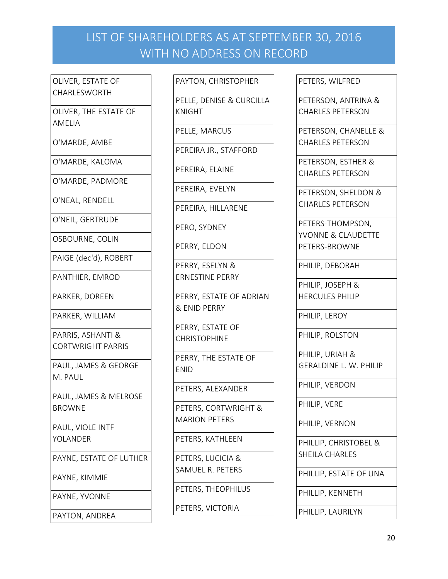OLIVER, ESTATE OF CHARLESWORTH

OLIVER, THE ESTATE OF AMELIA

O'MARDE, AMBE

O'MARDE, KALOMA

O'MARDE, PADMORE

O'NEAL, RENDELL

O'NEIL, GERTRUDE

OSBOURNE, COLIN

PAIGE (dec'd), ROBERT

PANTHIER, EMROD

PARKER, DOREEN

PARKER, WILLIAM

PARRIS, ASHANTI & CORTWRIGHT PARRIS

PAUL, JAMES & GEORGE M. PAUL

PAUL, JAMES & MELROSE BROWNE

PAUL, VIOLE INTF YOLANDER

PAYNE, ESTATE OF LUTHER

PAYNE, KIMMIE

PAYNE, YVONNE

PAYTON, ANDREA

PAYTON, CHRISTOPHER

PELLE, DENISE & CURCILLA KNIGHT

PELLE, MARCUS

PEREIRA JR., STAFFORD

PEREIRA, ELAINE

PEREIRA, EVELYN

PEREIRA, HILLARENE

PERO, SYDNEY

PERRY, ELDON

PERRY, ESELYN & ERNESTINE PERRY

PERRY, ESTATE OF ADRIAN & ENID PERRY

PERRY, ESTATE OF CHRISTOPHINE

PERRY, THE ESTATE OF ENID

PETERS, ALEXANDER

PETERS, CORTWRIGHT & MARION PETERS

PETERS, KATHLEEN

PETERS, LUCICIA & SAMUEL R. PETERS

PETERS, THEOPHILUS

PETERS, VICTORIA

PETERS, WILFRED

PETERSON, ANTRINA & CHARLES PETERSON

PETERSON, CHANELLE & CHARLES PETERSON

PETERSON, ESTHER & CHARLES PETERSON

PETERSON, SHELDON & CHARLES PETERSON

PETERS-THOMPSON, YVONNE & CLAUDETTE PETERS-BROWNE

PHILIP, DEBORAH

PHILIP, JOSEPH & HERCULES PHILIP

PHILIP, LEROY

PHILIP, ROLSTON

PHILIP, URIAH & GERALDINE L. W. PHILIP

PHILIP, VERDON

PHILIP, VERE

PHILIP, VERNON

PHILLIP, CHRISTOBEL & SHEILA CHARLES

PHILLIP, ESTATE OF UNA

PHILLIP, KENNETH

PHILLIP, LAURILYN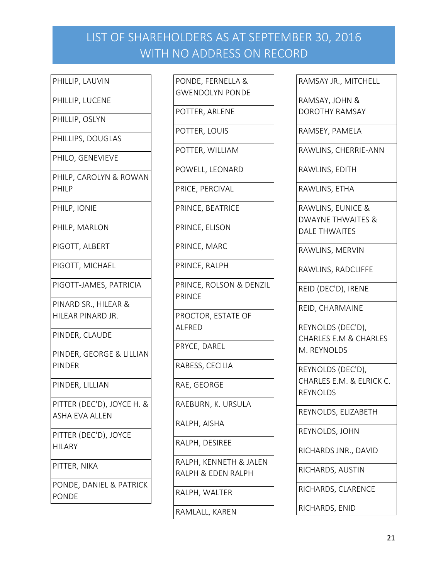- PHILLIP, LAUVIN
- PHILLIP, LUCENE
- PHILLIP, OSLYN
- PHILLIPS, DOUGLAS
- PHILO, GENEVIEVE
- PHILP, CAROLYN & ROWAN PHILP
- PHILP, IONIE
- PHILP, MARLON
- PIGOTT, ALBERT
- PIGOTT, MICHAEL
- PIGOTT-JAMES, PATRICIA
- PINARD SR., HILEAR & HILEAR PINARD JR.
- PINDER, CLAUDE
- PINDER, GEORGE & LILLIAN PINDER
- PINDER, LILLIAN
- PITTER (DEC'D), JOYCE H. & ASHA EVA ALLEN
- PITTER (DEC'D), JOYCE HILARY
- PITTER, NIKA
- PONDE, DANIEL & PATRICK PONDE
- PONDE, FERNELLA & GWENDOLYN PONDE POTTER, ARLENE POTTER, LOUIS POTTER, WILLIAM
- 
- POWELL, LEONARD
- PRICE, PERCIVAL
- PRINCE, BEATRICE
- PRINCE, ELISON
- PRINCE, MARC
- PRINCE, RALPH
- PRINCE, ROLSON & DENZIL PRINCE
- 
- PROCTOR, ESTATE OF ALFRED
- PRYCE, DAREL
- RABESS, CECILIA
- RAE, GEORGE
- RAEBURN, K. URSULA
- RALPH, AISHA
- RALPH, DESIREE
- RALPH, KENNETH & JALEN RALPH & EDEN RALPH
- RALPH, WALTER
- RAMLALL, KAREN
- RAMSAY JR., MITCHELL
- RAMSAY, JOHN & DOROTHY RAMSAY
- RAMSEY, PAMELA
- RAWLINS, CHERRIE-ANN
- RAWLINS, EDITH
- RAWLINS, ETHA
- RAWLINS, EUNICE & DWAYNE THWAITES & DALE THWAITES
- RAWLINS, MERVIN
- RAWLINS, RADCLIFFE
- REID (DEC'D), IRENE
- REID, CHARMAINE
- REYNOLDS (DEC'D), CHARLES E.M & CHARLES M. REYNOLDS
- REYNOLDS (DEC'D), CHARLES E.M. & ELRICK C. REYNOLDS
- REYNOLDS, ELIZABETH
- REYNOLDS, JOHN
- RICHARDS JNR., DAVID
- RICHARDS, AUSTIN
- RICHARDS, CLARENCE
- RICHARDS, ENID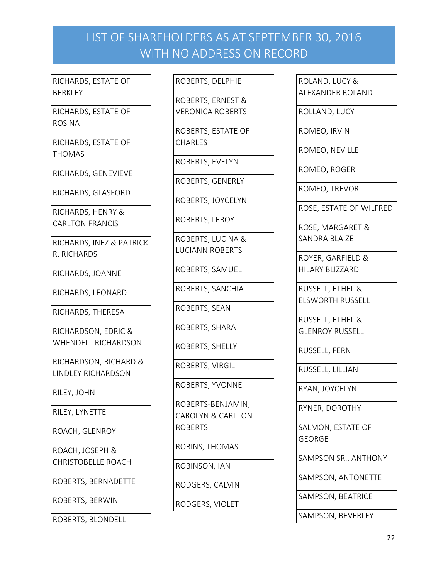RICHARDS, ESTATE OF **BERKLEY** 

RICHARDS, ESTATE OF ROSINA

RICHARDS, ESTATE OF THOMAS

RICHARDS, GENEVIEVE

RICHARDS, GLASFORD

RICHARDS, HENRY & CARLTON FRANCIS

RICHARDS, INEZ & PATRICK R. RICHARDS

RICHARDS, JOANNE

RICHARDS, LEONARD

RICHARDS, THERESA

RICHARDSON, EDRIC & WHENDELL RICHARDSON

RICHARDSON, RICHARD & LINDLEY RICHARDSON

RILEY, JOHN

RILEY, LYNETTE

ROACH, GLENROY

ROACH, JOSEPH & CHRISTOBELLE ROACH

ROBERTS, BERNADETTE

ROBERTS, BERWIN

ROBERTS, BLONDELL

ROBERTS, DELPHIE

ROBERTS, ERNEST & VERONICA ROBERTS

ROBERTS, ESTATE OF CHARLES

ROBERTS, EVELYN

ROBERTS, GENERLY

ROBERTS, JOYCELYN

ROBERTS, LEROY

ROBERTS, LUCINA & LUCIANN ROBERTS

ROBERTS, SAMUEL

ROBERTS, SANCHIA

ROBERTS, SEAN

ROBERTS, SHARA

ROBERTS, SHELLY

ROBERTS, VIRGIL

ROBERTS, YVONNE

ROBERTS-BENJAMIN, CAROLYN & CARLTON ROBERTS

ROBINS, THOMAS

ROBINSON, IAN

RODGERS, CALVIN

RODGERS, VIOLET

ROLAND, LUCY & ALEXANDER ROLAND

ROLLAND, LUCY

ROMEO, IRVIN

ROMEO, NEVILLE

ROMEO, ROGER

ROMEO, TREVOR

ROSE, ESTATE OF WILFRED

ROSE, MARGARET & SANDRA BLAIZE

ROYER, GARFIELD & HILARY BLIZZARD

RUSSELL, ETHEL & ELSWORTH RUSSELL

RUSSELL, ETHEL & GLENROY RUSSELL

RUSSELL, FERN

RUSSELL, LILLIAN

RYAN, JOYCELYN

RYNER, DOROTHY

SALMON, ESTATE OF GEORGE

SAMPSON SR., ANTHONY

SAMPSON, ANTONETTE

SAMPSON, BEATRICE

SAMPSON, BEVERLEY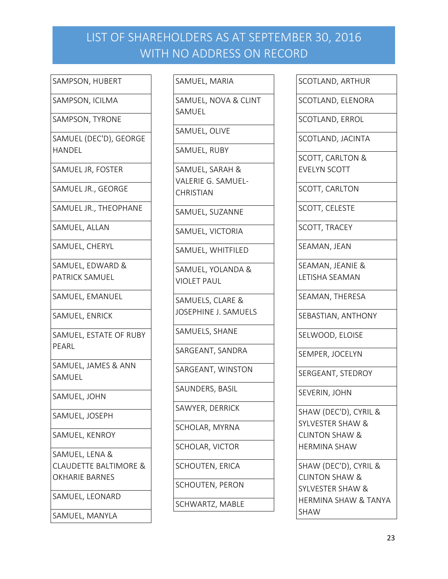SAMPSON, HUBERT

SAMPSON, ICILMA

SAMPSON, TYRONE

SAMUEL (DEC'D), GEORGE HANDEL

SAMUEL JR, FOSTER

SAMUEL JR., GEORGE

SAMUEL JR., THEOPHANE

SAMUEL, ALLAN

SAMUEL, CHERYL

SAMUEL, EDWARD & PATRICK SAMUEL

SAMUEL, EMANUEL

SAMUEL, ENRICK

SAMUEL, ESTATE OF RUBY PEARL

SAMUEL, JAMES & ANN SAMUEL

SAMUEL, JOHN

SAMUEL, JOSEPH

SAMUEL, KENROY

SAMUEL, LENA & CLAUDETTE BALTIMORE & OKHARIE BARNES

SAMUEL, LEONARD

SAMUEL, MANYLA

SAMUEL, MARIA

SAMUEL, NOVA & CLINT SAMUEL

SAMUEL, OLIVE

SAMUEL, RUBY

SAMUEL, SARAH & VALERIE G. SAMUEL-CHRISTIAN

SAMUEL, SUZANNE

SAMUEL, VICTORIA

SAMUEL, WHITFILED

SAMUEL, YOLANDA & VIOLET PAUL

SAMUELS, CLARE & JOSEPHINE J. SAMUELS

SAMUELS, SHANE

SARGEANT, SANDRA

SARGEANT, WINSTON

SAUNDERS, BASIL

SAWYER, DERRICK

SCHOLAR, MYRNA

SCHOLAR, VICTOR

SCHOUTEN, ERICA

SCHOUTEN, PERON

SCHWARTZ, MABLE

SCOTLAND, ARTHUR

SCOTLAND, ELENORA

SCOTLAND, ERROL

SCOTLAND, JACINTA

SCOTT, CARLTON & EVELYN SCOTT

SCOTT, CARLTON

SCOTT, CELESTE

SCOTT, TRACEY

SEAMAN, JEAN

SEAMAN, JEANIE & LETISHA SEAMAN

SEAMAN, THERESA

SEBASTIAN, ANTHONY

SELWOOD, ELOISE

SEMPER, JOCELYN

SERGEANT, STEDROY

SEVERIN, JOHN

SHAW (DEC'D), CYRIL & SYLVESTER SHAW & CLINTON SHAW & HERMINA SHAW

SHAW (DEC'D), CYRIL & CLINTON SHAW & SYLVESTER SHAW & HERMINA SHAW & TANYA SHAW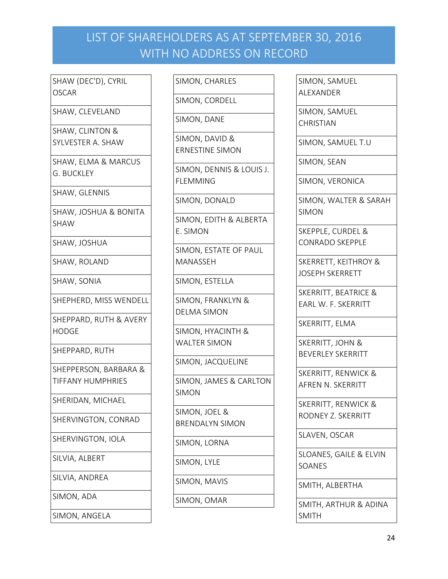SHAW (DEC'D), CYRIL OSCAR

SHAW, CLEVELAND

SHAW, CLINTON & SYLVESTER A. SHAW

SHAW, ELMA & MARCUS G. BUCKLEY

SHAW, GLENNIS

SHAW, JOSHUA & BONITA SHAW

SHAW, JOSHUA

SHAW, ROLAND

SHAW, SONIA

SHEPHERD, MISS WENDELL

SHEPPARD, RUTH & AVERY HODGE

SHEPPARD, RUTH

SHEPPERSON, BARBARA & TIFFANY HUMPHRIES

SHERIDAN, MICHAEL

SHERVINGTON, CONRAD

SHERVINGTON, IOLA

SILVIA, ALBERT

SILVIA, ANDREA

SIMON, ADA

SIMON, ANGELA

SIMON, CHARLES

SIMON, CORDELL

SIMON, DANE

SIMON, DAVID & ERNESTINE SIMON

SIMON, DENNIS & LOUIS J. FLEMMING

SIMON, DONALD

SIMON, EDITH & ALBERTA E. SIMON

SIMON, ESTATE OF PAUL MANASSEH

SIMON, ESTELLA

SIMON, FRANKLYN & DELMA SIMON

SIMON, HYACINTH & WALTER SIMON

SIMON, JACQUELINE

SIMON, JAMES & CARLTON SIMON

SIMON, JOEL & BRENDALYN SIMON

SIMON, LORNA

SIMON, LYLE

SIMON, MAVIS

SIMON, OMAR

SIMON, SAMUEL ALEXANDER

SIMON, SAMUEL **CHRISTIAN** 

SIMON, SAMUEL T.U

SIMON, SEAN

SIMON, VERONICA

SIMON, WALTER & SARAH SIMON

SKEPPLE, CURDEL & CONRADO SKEPPLE

SKERRETT, KEITHROY & JOSEPH SKERRETT

SKERRITT, BEATRICE & EARL W. F. SKERRITT

SKERRITT, ELMA

SKERRITT, JOHN & BEVERLEY SKERRITT

SKERRITT, RENWICK & AFREN N. SKERRITT

SKERRITT, RENWICK & RODNEY Z. SKERRITT

SLAVEN, OSCAR

SLOANES, GAILE & ELVIN SOANES

SMITH, ALBERTHA

SMITH, ARTHUR & ADINA SMITH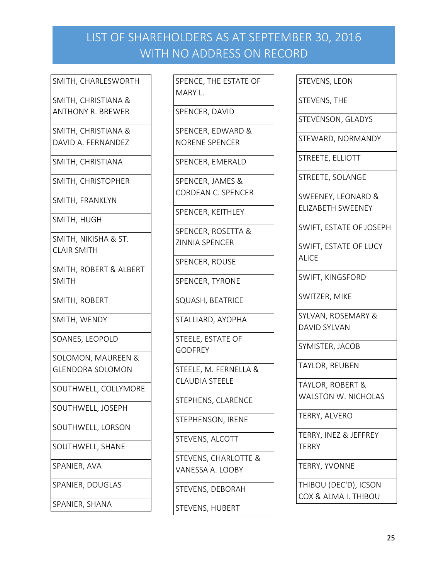#### SMITH, CHARLESWORTH

SMITH, CHRISTIANA & ANTHONY R. BREWER

SMITH, CHRISTIANA & DAVID A. FERNANDEZ

SMITH, CHRISTIANA

SMITH, CHRISTOPHER

SMITH, FRANKLYN

SMITH, HUGH

SMITH, NIKISHA & ST. CLAIR SMITH

SMITH, ROBERT & ALBERT SMITH

SMITH, ROBERT

SMITH, WENDY

SOANES, LEOPOLD

SOLOMON, MAUREEN & GLENDORA SOLOMON

SOUTHWELL, COLLYMORE

SOUTHWELL, JOSEPH

SOUTHWELL, LORSON

SOUTHWELL, SHANE

SPANIER, AVA

SPANIER, DOUGLAS

SPANIER, SHANA

SPENCE, THE ESTATE OF MARY L.

SPENCER, DAVID

SPENCER, EDWARD & NORENE SPENCER

SPENCER, EMERALD

SPENCER, JAMES & CORDEAN C. SPENCER

SPENCER, KEITHLEY

SPENCER, ROSETTA & ZINNIA SPENCER

SPENCER, ROUSE

SPENCER, TYRONE

SQUASH, BEATRICE

STALLIARD, AYOPHA

STEELE, ESTATE OF GODFREY

STEELE, M. FERNELLA & CLAUDIA STEELE

STEPHENS, CLARENCE

STEPHENSON, IRENE

STEVENS, ALCOTT

STEVENS, CHARLOTTE & VANESSA A. LOOBY

STEVENS, DEBORAH

STEVENS, HUBERT

STEVENS, LEON

STEVENS, THE

STEVENSON, GLADYS

STEWARD, NORMANDY

STREETE, ELLIOTT

STREETE, SOLANGE

SWEENEY, LEONARD & ELIZABETH SWEENEY

SWIFT, ESTATE OF JOSEPH

SWIFT, ESTATE OF LUCY ALICE

SWIFT, KINGSFORD

SWITZER, MIKE

SYLVAN, ROSEMARY & DAVID SYLVAN

SYMISTER, JACOB

TAYLOR, REUBEN

TAYLOR, ROBERT & WALSTON W. NICHOLAS

TERRY, ALVERO

TERRY, INEZ & JEFFREY **TERRY** 

TERRY, YVONNE

THIBOU (DEC'D), ICSON COX & ALMA I. THIBOU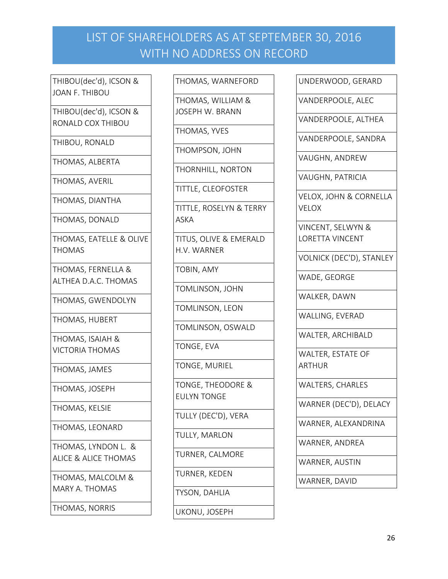THIBOU(dec'd), ICSON & JOAN F. THIBOU

THIBOU(dec'd), ICSON & RONALD COX THIBOU

THIBOU, RONALD

THOMAS, ALBERTA

THOMAS, AVERIL

THOMAS, DIANTHA

THOMAS, DONALD

THOMAS, EATELLE & OLIVE THOMAS

THOMAS, FERNELLA & ALTHEA D.A.C. THOMAS

THOMAS, GWENDOLYN

THOMAS, HUBERT

THOMAS, ISAIAH & VICTORIA THOMAS

THOMAS, JAMES

THOMAS, JOSEPH

THOMAS, KELSIE

THOMAS, LEONARD

THOMAS, LYNDON L. & ALICE & ALICE THOMAS

THOMAS, MALCOLM & MARY A. THOMAS

THOMAS, NORRIS

THOMAS, WARNEFORD

THOMAS, WILLIAM & JOSEPH W. BRANN

THOMAS, YVES

THOMPSON, JOHN

THORNHILL, NORTON

TITTLE, CLEOFOSTER

TITTLE, ROSELYN & TERRY ASKA

TITUS, OLIVE & EMERALD H.V. WARNER

TOBIN, AMY

TOMLINSON, JOHN

TOMLINSON, LEON

TOMLINSON, OSWALD

TONGE, EVA

TONGE, MURIEL

TONGE, THEODORE & EULYN TONGE

TULLY (DEC'D), VERA

TULLY, MARLON

TURNER, CALMORE

TURNER, KEDEN

TYSON, DAHLIA

UKONU, JOSEPH

UNDERWOOD, GERARD

VANDERPOOLE, ALEC

VANDERPOOLE, ALTHEA

VANDERPOOLE, SANDRA

VAUGHN, ANDREW

VAUGHN, PATRICIA

VELOX, JOHN & CORNELLA VELOX

VINCENT, SELWYN & LORETTA VINCENT

VOLNICK (DEC'D), STANLEY

WADE, GEORGE

WALKER, DAWN

WALLING, EVERAD

WALTER, ARCHIBALD

WALTER, ESTATE OF ARTHUR

WALTERS, CHARLES

WARNER (DEC'D), DELACY

WARNER, ALEXANDRINA

WARNER, ANDREA

WARNER, AUSTIN

WARNER, DAVID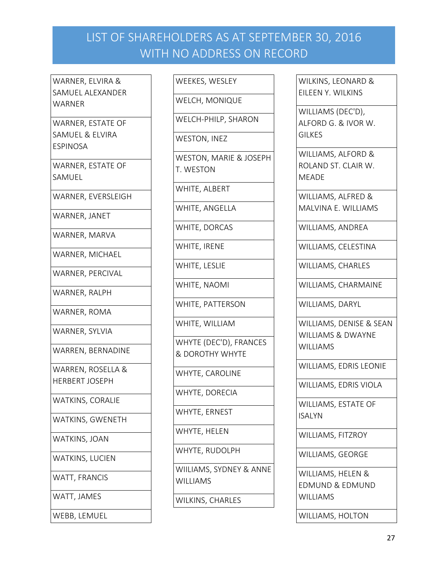WARNER, ELVIRA & SAMUEL ALEXANDER **WARNER** 

WARNER, ESTATE OF SAMUEL & ELVIRA ESPINOSA

WARNER, ESTATE OF SAMUEL

WARNER, EVERSLEIGH

WARNER, JANET

WARNER, MARVA

WARNER, MICHAEL

WARNER, PERCIVAL

WARNER, RALPH

WARNER, ROMA

WARNER, SYLVIA

WARREN, BERNADINE

WARREN, ROSELLA & HERBERT JOSEPH

WATKINS, CORALIE

WATKINS, GWENETH

WATKINS, JOAN

WATKINS, LUCIEN

WATT, FRANCIS

WATT, JAMES

WEBB, LEMUEL

WEEKES, WESLEY

WELCH, MONIQUE

WELCH-PHILP, SHARON

WESTON, INEZ

WESTON, MARIE & JOSEPH T. WESTON

WHITE, ALBERT

WHITE, ANGELLA

WHITE, DORCAS

WHITE, IRENE

WHITE, LESLIE

WHITE, NAOMI

WHITE, PATTERSON

WHITE, WILLIAM

WHYTE (DEC'D), FRANCES & DOROTHY WHYTE

WHYTE, CAROLINE

WHYTE, DORECIA

WHYTE, ERNEST

WHYTE, HELEN

WHYTE, RUDOLPH

WIILIAMS, SYDNEY & ANNE WILLIAMS

WILKINS, CHARLES

WILKINS, LEONARD & EILEEN Y. WILKINS

WILLIAMS (DEC'D), ALFORD G. & IVOR W. **GILKES** 

WILLIAMS, ALFORD & ROLAND ST. CLAIR W. MEADE

WILLIAMS, ALFRED & MALVINA E. WILLIAMS

WILLIAMS, ANDREA

WILLIAMS, CELESTINA

WILLIAMS, CHARLES

WILLIAMS, CHARMAINE

WILLIAMS, DARYL

WILLIAMS, DENISE & SEAN WILLIAMS & DWAYNE **WILLIAMS** 

WILLIAMS, EDRIS LEONIE

WILLIAMS, EDRIS VIOLA

WILLIAMS, ESTATE OF ISALYN

WILLIAMS, FITZROY

WILLIAMS, GEORGE

WILLIAMS, HELEN & EDMUND & EDMUND **WILLIAMS** 

WILLIAMS, HOLTON